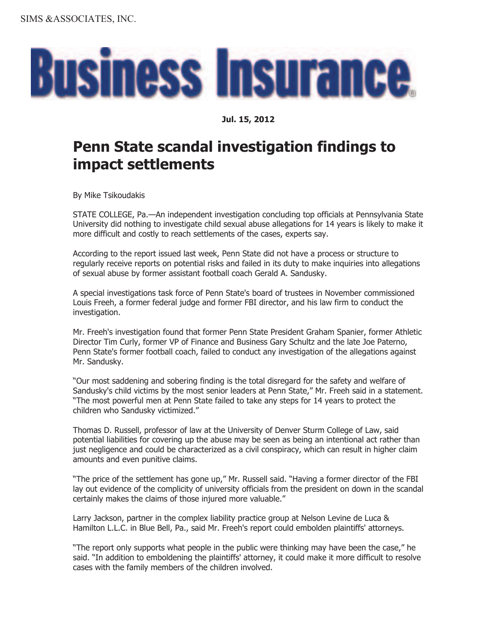

## **Jul. 15, 2012**

## **Penn State scandal investigation findings to impact settlements**

By Mike Tsikoudakis

STATE COLLEGE, Pa.—An independent investigation concluding top officials at Pennsylvania State University did nothing to investigate child sexual abuse allegations for 14 years is likely to make it more difficult and costly to reach settlements of the cases, experts say.

According to the report issued last week, Penn State did not have a process or structure to regularly receive reports on potential risks and failed in its duty to make inquiries into allegations of sexual abuse by former assistant football coach Gerald A. Sandusky.

A special investigations task force of Penn State's board of trustees in November commissioned Louis Freeh, a former federal judge and former FBI director, and his law firm to conduct the investigation.

Mr. Freeh's investigation found that former Penn State President Graham Spanier, former Athletic Director Tim Curly, former VP of Finance and Business Gary Schultz and the late Joe Paterno, Penn State's former football coach, failed to conduct any investigation of the allegations against Mr. Sandusky.

"Our most saddening and sobering finding is the total disregard for the safety and welfare of Sandusky's child victims by the most senior leaders at Penn State," Mr. Freeh said in a statement. "The most powerful men at Penn State failed to take any steps for 14 years to protect the children who Sandusky victimized."

Thomas D. Russell, professor of law at the University of Denver Sturm College of Law, said potential liabilities for covering up the abuse may be seen as being an intentional act rather than just negligence and could be characterized as a civil conspiracy, which can result in higher claim amounts and even punitive claims.

"The price of the settlement has gone up," Mr. Russell said. "Having a former director of the FBI lay out evidence of the complicity of university officials from the president on down in the scandal certainly makes the claims of those injured more valuable."

Larry Jackson, partner in the complex liability practice group at Nelson Levine de Luca & Hamilton L.L.C. in Blue Bell, Pa., said Mr. Freeh's report could embolden plaintiffs' attorneys.

"The report only supports what people in the public were thinking may have been the case," he said. "In addition to emboldening the plaintiffs' attorney, it could make it more difficult to resolve cases with the family members of the children involved.